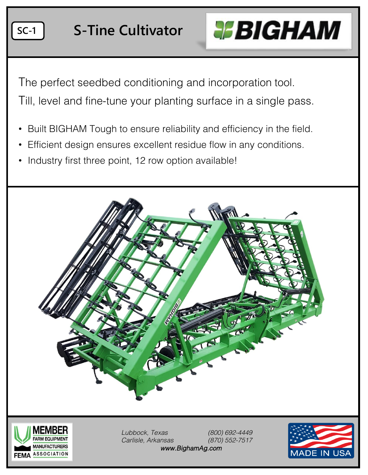

The perfect seedbed conditioning and incorporation tool.

Till, level and fine-tune your planting surface in a single pass.

- Built BIGHAM Tough to ensure reliability and efficiency in the field.
- Efficient design ensures excellent residue flow in any conditions.
- Industry first three point, 12 row option available!





*Lubbock, Texas (800) 692-4449 Carlisle, Arkansas (870) 552-7517 www.BighamAg.com*